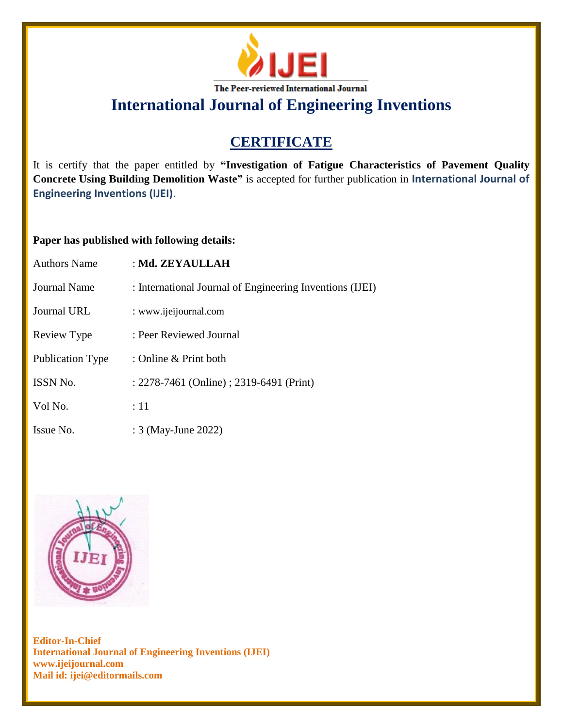

**International Journal of Engineering Inventions**

## **CERTIFICATE**

It is certify that the paper entitled by **"Investigation of Fatigue Characteristics of Pavement Quality Concrete Using Building Demolition Waste"** is accepted for further publication in **International Journal of Engineering Inventions (IJEI)**.

## **Paper has published with following details:**

| <b>Authors Name</b>     | : Md. ZEYAULLAH                                          |
|-------------------------|----------------------------------------------------------|
| Journal Name            | : International Journal of Engineering Inventions (IJEI) |
| Journal URL             | : www.ijeijournal.com                                    |
| Review Type             | : Peer Reviewed Journal                                  |
| <b>Publication Type</b> | : Online & Print both                                    |
| ISSN No.                | : 2278-7461 (Online) ; 2319-6491 (Print)                 |
| Vol No.                 | :11                                                      |
| Issue No.               | : 3 (May-June 2022)                                      |



**Editor-In-Chief International Journal of Engineering Inventions (IJEI) www.ijeijournal.com Mail id: ijei@editormails.com**